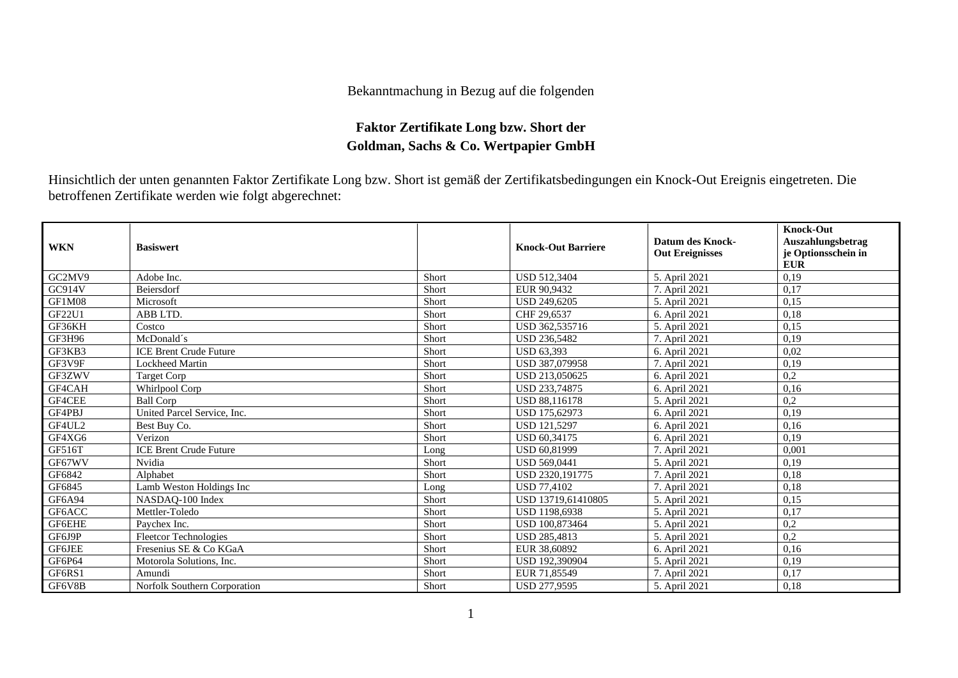## Bekanntmachung in Bezug auf die folgenden

## **Faktor Zertifikate Long bzw. Short der Goldman, Sachs & Co. Wertpapier GmbH**

Hinsichtlich der unten genannten Faktor Zertifikate Long bzw. Short ist gemäß der Zertifikatsbedingungen ein Knock-Out Ereignis eingetreten. Die betroffenen Zertifikate werden wie folgt abgerechnet:

| <b>WKN</b>    | <b>Basiswert</b>              |       | <b>Knock-Out Barriere</b> | Datum des Knock-<br><b>Out Ereignisses</b> | <b>Knock-Out</b><br>Auszahlungsbetrag<br>je Optionsschein in<br><b>EUR</b> |
|---------------|-------------------------------|-------|---------------------------|--------------------------------------------|----------------------------------------------------------------------------|
| GC2MV9        | Adobe Inc.                    | Short | <b>USD 512.3404</b>       | 5. April 2021                              | 0,19                                                                       |
| GC914V        | Beiersdorf                    | Short | EUR 90.9432               | 7. April 2021                              | 0.17                                                                       |
| GF1M08        | Microsoft                     | Short | <b>USD 249,6205</b>       | 5. April 2021                              | 0,15                                                                       |
| GF22U1        | ABB LTD.                      | Short | CHF 29,6537               | 6. April 2021                              | 0,18                                                                       |
| GF36KH        | Costco                        | Short | USD 362,535716            | 5. April 2021                              | 0,15                                                                       |
| GF3H96        | McDonald's                    | Short | <b>USD 236,5482</b>       | 7. April 2021                              | 0.19                                                                       |
| GF3KB3        | <b>ICE Brent Crude Future</b> | Short | <b>USD 63,393</b>         | 6. April 2021                              | 0,02                                                                       |
| GF3V9F        | <b>Lockheed Martin</b>        | Short | USD 387,079958            | 7. April 2021                              | 0,19                                                                       |
| GF3ZWV        | <b>Target Corp</b>            | Short | USD 213,050625            | 6. April 2021                              | 0,2                                                                        |
| GF4CAH        | Whirlpool Corp                | Short | USD 233,74875             | 6. April 2021                              | 0,16                                                                       |
| GF4CEE        | <b>Ball Corp</b>              | Short | <b>USD 88,116178</b>      | 5. April 2021                              | 0,2                                                                        |
| GF4PBJ        | United Parcel Service, Inc.   | Short | USD 175,62973             | 6. April 2021                              | 0,19                                                                       |
| GF4UL2        | Best Buy Co.                  | Short | <b>USD 121,5297</b>       | 6. April 2021                              | 0,16                                                                       |
| GF4XG6        | Verizon                       | Short | <b>USD 60.34175</b>       | 6. April 2021                              | 0.19                                                                       |
| GF516T        | <b>ICE Brent Crude Future</b> | Long  | <b>USD 60.81999</b>       | 7. April 2021                              | 0,001                                                                      |
| GF67WV        | Nvidia                        | Short | <b>USD 569,0441</b>       | 5. April 2021                              | 0,19                                                                       |
| GF6842        | Alphabet                      | Short | USD 2320, 191775          | 7. April 2021                              | 0,18                                                                       |
| GF6845        | Lamb Weston Holdings Inc      | Long  | <b>USD 77,4102</b>        | 7. April 2021                              | 0,18                                                                       |
| <b>GF6A94</b> | NASDAO-100 Index              | Short | USD 13719.61410805        | 5. April 2021                              | 0,15                                                                       |
| GF6ACC        | Mettler-Toledo                | Short | <b>USD 1198,6938</b>      | 5. April 2021                              | 0,17                                                                       |
| <b>GF6EHE</b> | Paychex Inc.                  | Short | USD 100.873464            | 5. April 2021                              | 0,2                                                                        |
| GF6J9P        | <b>Fleetcor Technologies</b>  | Short | <b>USD 285,4813</b>       | 5. April 2021                              | 0,2                                                                        |
| <b>GF6JEE</b> | Fresenius SE & Co KGaA        | Short | EUR 38,60892              | 6. April 2021                              | 0,16                                                                       |
| GF6P64        | Motorola Solutions, Inc.      | Short | USD 192,390904            | 5. April 2021                              | 0,19                                                                       |
| GF6RS1        | Amundi                        | Short | EUR 71,85549              | 7. April 2021                              | 0,17                                                                       |
| GF6V8B        | Norfolk Southern Corporation  | Short | <b>USD 277,9595</b>       | 5. April 2021                              | 0,18                                                                       |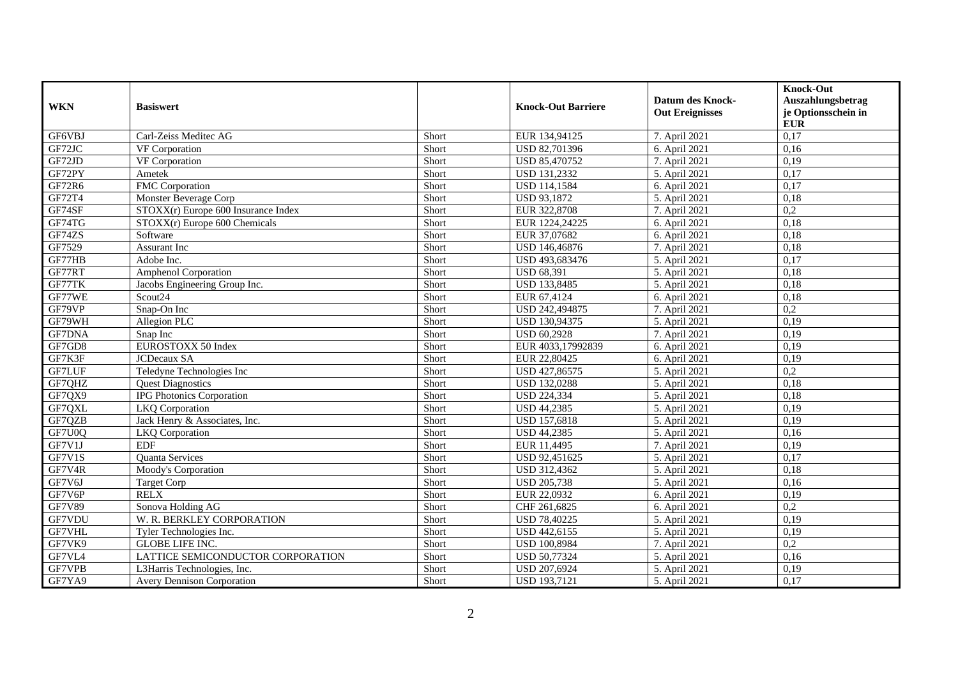|               |                                     |       |                           | <b>Datum des Knock-</b> | <b>Knock-Out</b><br>Auszahlungsbetrag |
|---------------|-------------------------------------|-------|---------------------------|-------------------------|---------------------------------------|
| <b>WKN</b>    | <b>Basiswert</b>                    |       | <b>Knock-Out Barriere</b> | <b>Out Ereignisses</b>  | je Optionsschein in<br><b>EUR</b>     |
| GF6VBJ        | Carl-Zeiss Meditec AG               | Short | EUR 134,94125             | 7. April 2021           | 0,17                                  |
| GF72JC        | VF Corporation                      | Short | USD 82,701396             | 6. April 2021           | 0,16                                  |
| GF72JD        | VF Corporation                      | Short | USD 85,470752             | 7. April 2021           | 0,19                                  |
| GF72PY        | Ametek                              | Short | <b>USD 131,2332</b>       | 5. April 2021           | 0,17                                  |
| <b>GF72R6</b> | FMC Corporation                     | Short | <b>USD 114,1584</b>       | 6. April 2021           | 0,17                                  |
| GF72T4        | Monster Beverage Corp               | Short | USD 93,1872               | 5. April 2021           | 0,18                                  |
| GF74SF        | STOXX(r) Europe 600 Insurance Index | Short | EUR 322,8708              | 7. April 2021           | $\overline{0,2}$                      |
| GF74TG        | STOXX(r) Europe 600 Chemicals       | Short | EUR 1224,24225            | 6. April 2021           | 0,18                                  |
| GF74ZS        | Software                            | Short | EUR 37,07682              | 6. April 2021           | 0,18                                  |
| GF7529        | Assurant Inc                        | Short | USD 146,46876             | 7. April 2021           | 0,18                                  |
| GF77HB        | Adobe Inc.                          | Short | USD 493,683476            | 5. April 2021           | 0,17                                  |
| GF77RT        | <b>Amphenol Corporation</b>         | Short | <b>USD 68,391</b>         | 5. April 2021           | 0,18                                  |
| GF77TK        | Jacobs Engineering Group Inc.       | Short | USD 133,8485              | 5. April 2021           | 0,18                                  |
| GF77WE        | Scout24                             | Short | EUR 67,4124               | 6. April 2021           | 0,18                                  |
| GF79VP        | Snap-On Inc                         | Short | USD 242,494875            | 7. April 2021           | 0,2                                   |
| GF79WH        | Allegion PLC                        | Short | USD 130,94375             | 5. April 2021           | 0,19                                  |
| <b>GF7DNA</b> | Snap Inc                            | Short | <b>USD 60.2928</b>        | 7. April 2021           | 0,19                                  |
| GF7GD8        | EUROSTOXX 50 Index                  | Short | EUR 4033,17992839         | 6. April 2021           | 0,19                                  |
| GF7K3F        | <b>JCDecaux SA</b>                  | Short | EUR 22,80425              | 6. April 2021           | 0,19                                  |
| GF7LUF        | Teledyne Technologies Inc           | Short | USD 427,86575             | 5. April 2021           | $\overline{0,2}$                      |
| GF7QHZ        | <b>Quest Diagnostics</b>            | Short | <b>USD 132,0288</b>       | 5. April 2021           | 0,18                                  |
| GF7QX9        | <b>IPG Photonics Corporation</b>    | Short | <b>USD 224,334</b>        | 5. April 2021           | 0,18                                  |
| GF7QXL        | <b>LKQ</b> Corporation              | Short | <b>USD 44,2385</b>        | 5. April 2021           | 0,19                                  |
| GF7QZB        | Jack Henry & Associates, Inc.       | Short | <b>USD 157,6818</b>       | 5. April 2021           | 0.19                                  |
| GF7U0Q        | <b>LKQ</b> Corporation              | Short | USD 44,2385               | 5. April 2021           | 0,16                                  |
| GF7V1J        | <b>EDF</b>                          | Short | EUR 11,4495               | 7. April 2021           | 0,19                                  |
| GF7V1S        | Quanta Services                     | Short | USD 92,451625             | 5. April 2021           | 0,17                                  |
| GF7V4R        | Moody's Corporation                 | Short | USD 312,4362              | 5. April 2021           | 0,18                                  |
| GF7V6J        | <b>Target Corp</b>                  | Short | <b>USD 205,738</b>        | 5. April 2021           | 0,16                                  |
| GF7V6P        | <b>RELX</b>                         | Short | EUR 22,0932               | 6. April 2021           | 0,19                                  |
| <b>GF7V89</b> | Sonova Holding AG                   | Short | CHF 261,6825              | 6. April 2021           | 0,2                                   |
| GF7VDU        | W. R. BERKLEY CORPORATION           | Short | <b>USD 78,40225</b>       | 5. April 2021           | 0,19                                  |
| GF7VHL        | Tyler Technologies Inc.             | Short | <b>USD 442,6155</b>       | 5. April 2021           | 0,19                                  |
| GF7VK9        | <b>GLOBE LIFE INC.</b>              | Short | <b>USD 100,8984</b>       | 7. April 2021           | 0,2                                   |
| GF7VL4        | LATTICE SEMICONDUCTOR CORPORATION   | Short | <b>USD 50,77324</b>       | 5. April 2021           | 0,16                                  |
| GF7VPB        | L3Harris Technologies, Inc.         | Short | USD 207,6924              | 5. April 2021           | 0,19                                  |
| GF7YA9        | <b>Avery Dennison Corporation</b>   | Short | <b>USD 193,7121</b>       | 5. April 2021           | 0,17                                  |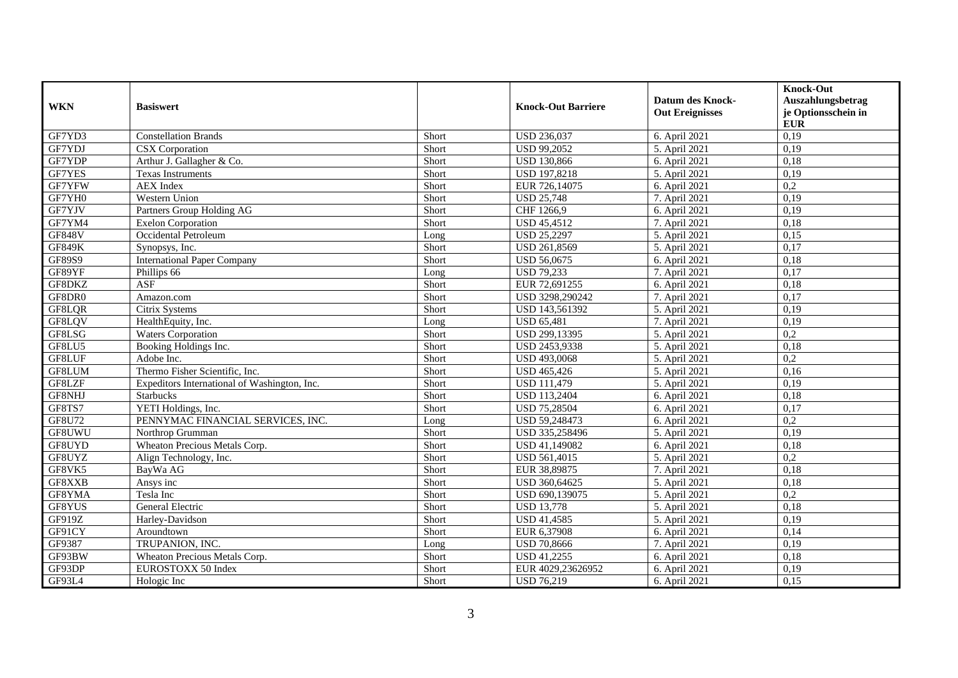|               |                                              |       |                           | <b>Datum des Knock-</b> | <b>Knock-Out</b><br>Auszahlungsbetrag |
|---------------|----------------------------------------------|-------|---------------------------|-------------------------|---------------------------------------|
| <b>WKN</b>    | <b>Basiswert</b>                             |       | <b>Knock-Out Barriere</b> | <b>Out Ereignisses</b>  | je Optionsschein in<br><b>EUR</b>     |
| GF7YD3        | <b>Constellation Brands</b>                  | Short | <b>USD 236,037</b>        | 6. April 2021           | 0,19                                  |
| GF7YDJ        | CSX Corporation                              | Short | <b>USD 99,2052</b>        | 5. April 2021           | 0,19                                  |
| GF7YDP        | Arthur J. Gallagher & Co.                    | Short | <b>USD 130,866</b>        | $6.$ April 2021         | 0,18                                  |
| <b>GF7YES</b> | <b>Texas Instruments</b>                     | Short | <b>USD 197,8218</b>       | 5. April 2021           | 0,19                                  |
| GF7YFW        | <b>AEX</b> Index                             | Short | EUR 726,14075             | 6. April 2021           | $\overline{0,2}$                      |
| GF7YH0        | Western Union                                | Short | <b>USD 25,748</b>         | 7. April 2021           | 0,19                                  |
| GF7YJV        | Partners Group Holding AG                    | Short | CHF 1266,9                | 6. April 2021           | 0,19                                  |
| GF7YM4        | <b>Exelon Corporation</b>                    | Short | <b>USD 45,4512</b>        | 7. April 2021           | 0,18                                  |
| <b>GF848V</b> | Occidental Petroleum                         | Long  | <b>USD 25,2297</b>        | 5. April 2021           | 0,15                                  |
| <b>GF849K</b> | Synopsys, Inc.                               | Short | USD 261,8569              | 5. April 2021           | 0,17                                  |
| GF89S9        | <b>International Paper Company</b>           | Short | <b>USD 56,0675</b>        | 6. April 2021           | 0,18                                  |
| GF89YF        | Phillips 66                                  | Long  | <b>USD 79,233</b>         | 7. April 2021           | 0,17                                  |
| GF8DKZ        | <b>ASF</b>                                   | Short | EUR 72,691255             | 6. April 2021           | 0,18                                  |
| GF8DR0        | Amazon.com                                   | Short | USD 3298,290242           | 7. April 2021           | 0,17                                  |
| GF8LQR        | Citrix Systems                               | Short | USD 143,561392            | 5. April 2021           | 0,19                                  |
| GF8LQV        | HealthEquity, Inc.                           | Long  | <b>USD 65,481</b>         | 7. April 2021           | 0,19                                  |
| GF8LSG        | <b>Waters Corporation</b>                    | Short | USD 299,13395             | 5. April 2021           | 0,2                                   |
| GF8LU5        | Booking Holdings Inc.                        | Short | USD 2453,9338             | 5. April 2021           | 0,18                                  |
| GF8LUF        | Adobe Inc.                                   | Short | USD 493,0068              | 5. April 2021           | 0,2                                   |
| GF8LUM        | Thermo Fisher Scientific, Inc.               | Short | <b>USD 465,426</b>        | 5. April 2021           | 0,16                                  |
| GF8LZF        | Expeditors International of Washington, Inc. | Short | <b>USD 111,479</b>        | 5. April 2021           | 0,19                                  |
| GF8NHJ        | Starbucks                                    | Short | <b>USD 113,2404</b>       | 6. April 2021           | 0,18                                  |
| GF8TS7        | YETI Holdings, Inc.                          | Short | <b>USD 75,28504</b>       | 6. April 2021           | 0,17                                  |
| GF8U72        | PENNYMAC FINANCIAL SERVICES, INC.            | Long  | USD 59,248473             | 6. April 2021           | 0,2                                   |
| GF8UWU        | Northrop Grumman                             | Short | USD 335,258496            | 5. April 2021           | 0,19                                  |
| GF8UYD        | Wheaton Precious Metals Corp.                | Short | USD 41,149082             | 6. April 2021           | 0,18                                  |
| GF8UYZ        | Align Technology, Inc.                       | Short | USD 561,4015              | 5. April 2021           | $\overline{0.2}$                      |
| GF8VK5        | BayWa AG                                     | Short | EUR 38,89875              | 7. April 2021           | 0,18                                  |
| GF8XXB        | Ansys inc                                    | Short | USD 360,64625             | 5. April 2021           | 0,18                                  |
| GF8YMA        | Tesla Inc                                    | Short | USD 690,139075            | 5. April 2021           | 0,2                                   |
| GF8YUS        | General Electric                             | Short | <b>USD 13,778</b>         | 5. April 2021           | 0,18                                  |
| GF919Z        | Harley-Davidson                              | Short | USD 41,4585               | 5. April 2021           | 0,19                                  |
| GF91CY        | Aroundtown                                   | Short | EUR 6,37908               | 6. April 2021           | 0,14                                  |
| GF9387        | TRUPANION, INC.                              | Long  | <b>USD 70,8666</b>        | 7. April 2021           | 0,19                                  |
| GF93BW        | Wheaton Precious Metals Corp.                | Short | USD 41,2255               | 6. April 2021           | 0,18                                  |
| GF93DP        | EUROSTOXX 50 Index                           | Short | EUR 4029,23626952         | 6. April 2021           | 0,19                                  |
| GF93L4        | Hologic Inc                                  | Short | <b>USD 76,219</b>         | 6. April 2021           | 0,15                                  |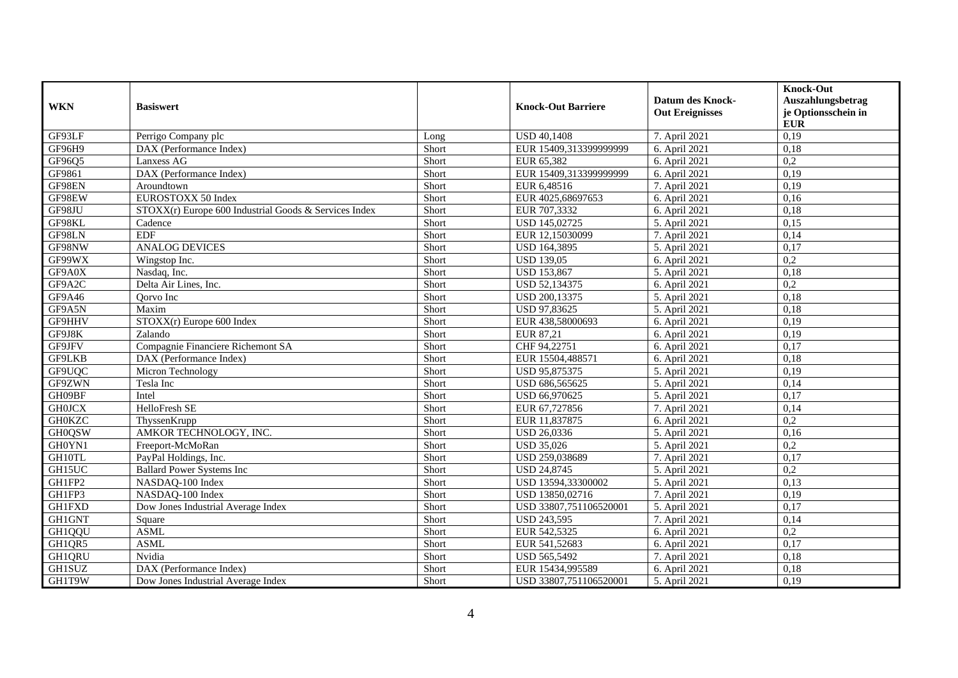| <b>WKN</b>    | <b>Basiswert</b>                                      |       | <b>Knock-Out Barriere</b> | <b>Datum des Knock-</b><br><b>Out Ereignisses</b> | <b>Knock-Out</b><br>Auszahlungsbetrag<br>je Optionsschein in |
|---------------|-------------------------------------------------------|-------|---------------------------|---------------------------------------------------|--------------------------------------------------------------|
|               |                                                       |       |                           |                                                   | <b>EUR</b>                                                   |
| GF93LF        | Perrigo Company plc                                   | Long  | <b>USD 40,1408</b>        | 7. April 2021                                     | 0,19                                                         |
| GF96H9        | DAX (Performance Index)                               | Short | EUR 15409,313399999999    | 6. April 2021                                     | 0,18                                                         |
| GF96Q5        | Lanxess AG                                            | Short | EUR 65,382                | 6. April 2021                                     | $\overline{0,2}$                                             |
| GF9861        | DAX (Performance Index)                               | Short | EUR 15409,313399999999    | 6. April 2021                                     | 0,19                                                         |
| GF98EN        | Aroundtown                                            | Short | EUR 6,48516               | 7. April 2021                                     | 0,19                                                         |
| GF98EW        | EUROSTOXX 50 Index                                    | Short | EUR 4025,68697653         | 6. April 2021                                     | 0,16                                                         |
| GF98JU        | STOXX(r) Europe 600 Industrial Goods & Services Index | Short | EUR 707,3332              | 6. April 2021                                     | 0,18                                                         |
| GF98KL        | Cadence                                               | Short | USD 145,02725             | 5. April 2021                                     | 0,15                                                         |
| GF98LN        | <b>EDF</b>                                            | Short | EUR 12,15030099           | 7. April 2021                                     | 0,14                                                         |
| GF98NW        | <b>ANALOG DEVICES</b>                                 | Short | <b>USD 164,3895</b>       | 5. April 2021                                     | 0,17                                                         |
| GF99WX        | Wingstop Inc.                                         | Short | <b>USD 139,05</b>         | 6. April 2021                                     | 0,2                                                          |
| GF9A0X        | Nasdaq, Inc.                                          | Short | <b>USD 153.867</b>        | 5. April 2021                                     | 0.18                                                         |
| GF9A2C        | Delta Air Lines, Inc.                                 | Short | USD 52,134375             | 6. April 2021                                     | $\overline{0,2}$                                             |
| GF9A46        | Qorvo Inc                                             | Short | USD 200,13375             | 5. April 2021                                     | 0,18                                                         |
| GF9A5N        | Maxim                                                 | Short | USD 97,83625              | 5. April 2021                                     | 0,18                                                         |
| GF9HHV        | STOXX(r) Europe 600 Index                             | Short | EUR 438,58000693          | 6. April 2021                                     | 0,19                                                         |
| GF9J8K        | Zalando                                               | Short | EUR 87,21                 | 6. April 2021                                     | 0,19                                                         |
| GF9JFV        | Compagnie Financiere Richemont SA                     | Short | CHF 94,22751              | 6. April 2021                                     | 0,17                                                         |
| <b>GF9LKB</b> | DAX (Performance Index)                               | Short | EUR 15504,488571          | 6. April 2021                                     | 0,18                                                         |
| GF9UQC        | Micron Technology                                     | Short | USD 95,875375             | 5. April 2021                                     | 0,19                                                         |
| GF9ZWN        | Tesla Inc                                             | Short | USD 686,565625            | 5. April 2021                                     | 0,14                                                         |
| GH09BF        | Intel                                                 | Short | USD 66,970625             | 5. April 2021                                     | 0,17                                                         |
| <b>GH0JCX</b> | HelloFresh SE                                         | Short | EUR 67,727856             | 7. April 2021                                     | 0,14                                                         |
| <b>GH0KZC</b> | ThyssenKrupp                                          | Short | EUR 11,837875             | 6. April 2021                                     | $\overline{0,2}$                                             |
| <b>GH0QSW</b> | AMKOR TECHNOLOGY, INC.                                | Short | <b>USD 26,0336</b>        | 5. April 2021                                     | 0,16                                                         |
| GH0YN1        | Freeport-McMoRan                                      | Short | <b>USD 35,026</b>         | 5. April 2021                                     | 0,2                                                          |
| GH10TL        | PayPal Holdings, Inc.                                 | Short | USD 259,038689            | 7. April 2021                                     | 0,17                                                         |
| GH15UC        | <b>Ballard Power Systems Inc</b>                      | Short | <b>USD 24,8745</b>        | 5. April 2021                                     | 0,2                                                          |
| GH1FP2        | NASDAQ-100 Index                                      | Short | USD 13594,33300002        | 5. April 2021                                     | 0,13                                                         |
| GH1FP3        | NASDAQ-100 Index                                      | Short | USD 13850,02716           | 7. April 2021                                     | 0,19                                                         |
| <b>GH1FXD</b> | Dow Jones Industrial Average Index                    | Short | USD 33807,751106520001    | 5. April 2021                                     | 0,17                                                         |
| GH1GNT        | Square                                                | Short | <b>USD 243,595</b>        | 7. April 2021                                     | 0,14                                                         |
| <b>GH1QQU</b> | <b>ASML</b>                                           | Short | EUR 542,5325              | 6. April 2021                                     | $\overline{0,2}$                                             |
| GH1QR5        | <b>ASML</b>                                           | Short | EUR 541,52683             | 6. April 2021                                     | 0,17                                                         |
| <b>GH1QRU</b> | Nvidia                                                | Short | <b>USD 565,5492</b>       | 7. April 2021                                     | 0,18                                                         |
| GH1SUZ        | DAX (Performance Index)                               | Short | EUR 15434,995589          | 6. April 2021                                     | 0,18                                                         |
| GH1T9W        | Dow Jones Industrial Average Index                    | Short | USD 33807,751106520001    | 5. April 2021                                     | 0,19                                                         |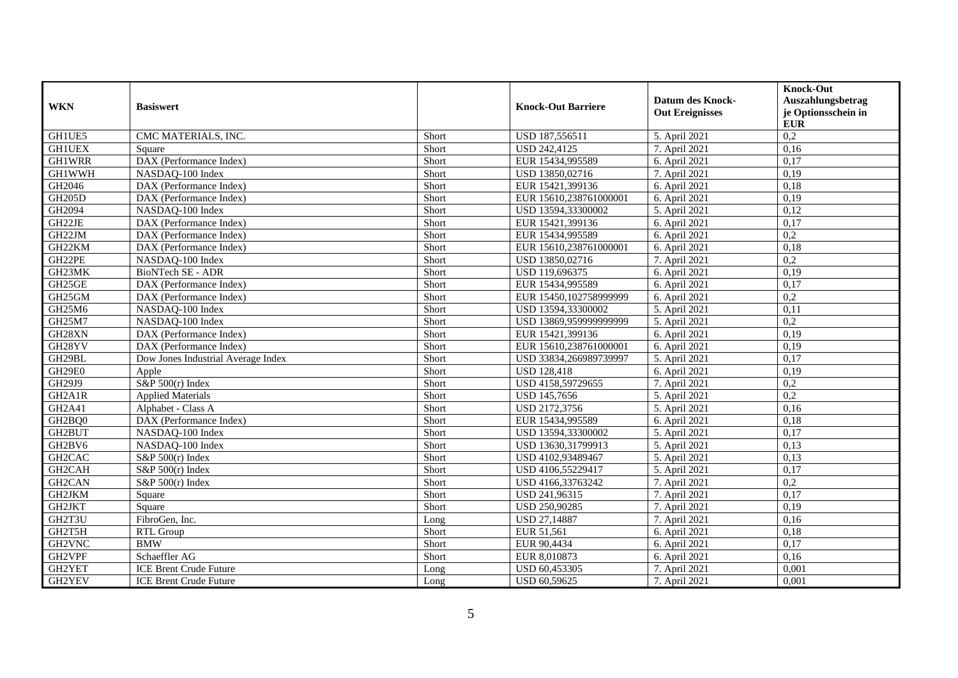| <b>WKN</b>          | <b>Basiswert</b>                   |       | <b>Knock-Out Barriere</b> | <b>Datum des Knock-</b><br><b>Out Ereignisses</b> | <b>Knock-Out</b><br>Auszahlungsbetrag<br>je Optionsschein in |
|---------------------|------------------------------------|-------|---------------------------|---------------------------------------------------|--------------------------------------------------------------|
| GH1UE5              | CMC MATERIALS, INC.                | Short | USD 187,556511            | 5. April 2021                                     | ${\bf EUR}$<br>0,2                                           |
| <b>GH1UEX</b>       | Square                             | Short | <b>USD 242,4125</b>       | 7. April 2021                                     | 0,16                                                         |
| <b>GH1WRR</b>       | DAX (Performance Index)            | Short | EUR 15434,995589          | 6. April 2021                                     | 0,17                                                         |
| <b>GH1WWH</b>       | NASDAQ-100 Index                   | Short | USD 13850,02716           | 7. April 2021                                     | 0,19                                                         |
| GH2046              | DAX (Performance Index)            | Short | EUR 15421,399136          | 6. April 2021                                     | 0,18                                                         |
| <b>GH205D</b>       | DAX (Performance Index)            | Short | EUR 15610,238761000001    | 6. April 2021                                     | 0,19                                                         |
| GH2094              | NASDAQ-100 Index                   | Short | USD 13594,33300002        | 5. April 2021                                     | 0,12                                                         |
| GH22JE              | DAX (Performance Index)            | Short | EUR 15421,399136          | 6. April 2021                                     | 0,17                                                         |
| GH22JM              | DAX (Performance Index)            | Short | EUR 15434,995589          | 6. April 2021                                     | $\overline{0,2}$                                             |
| GH22KM              | DAX (Performance Index)            | Short | EUR 15610,238761000001    | 6. April 2021                                     | 0,18                                                         |
| GH22PE              | NASDAQ-100 Index                   | Short | USD 13850,02716           | 7. April 2021                                     | 0,2                                                          |
| GH23MK              | BioNTech SE - ADR                  | Short | USD 119,696375            | 6. April 2021                                     | 0,19                                                         |
| GH25GE              | DAX (Performance Index)            | Short | EUR 15434,995589          | 6. April 2021                                     | 0,17                                                         |
| GH25GM              | DAX (Performance Index)            | Short | EUR 15450,102758999999    | 6. April 2021                                     | 0,2                                                          |
| GH25M6              | NASDAQ-100 Index                   | Short | USD 13594,33300002        | 5. April 2021                                     | 0,11                                                         |
| GH25M7              | NASDAQ-100 Index                   | Short | USD 13869,959999999999    | 5. April 2021                                     | 0,2                                                          |
| GH28XN              | DAX (Performance Index)            | Short | EUR 15421,399136          | 6. April 2021                                     | 0,19                                                         |
| GH28YV              | DAX (Performance Index)            | Short | EUR 15610,238761000001    | 6. April 2021                                     | 0,19                                                         |
| GH29BL              | Dow Jones Industrial Average Index | Short | USD 33834,266989739997    | 5. April 2021                                     | 0,17                                                         |
| GH29E0              | Apple                              | Short | <b>USD 128,418</b>        | 6. April 2021                                     | 0.19                                                         |
| GH29J9              | S&P $500(r)$ Index                 | Short | USD 4158,59729655         | 7. April 2021                                     | $\overline{0,2}$                                             |
| GH2A1R              | <b>Applied Materials</b>           | Short | USD 145,7656              | 5. April 2021                                     | $\overline{0,2}$                                             |
| GH2A41              | Alphabet - Class A                 | Short | USD 2172,3756             | 5. April 2021                                     | 0,16                                                         |
| GH2BQ0              | DAX (Performance Index)            | Short | EUR 15434,995589          | 6. April 2021                                     | 0,18                                                         |
| GH2BUT              | NASDAQ-100 Index                   | Short | USD 13594,33300002        | 5. April 2021                                     | 0,17                                                         |
| GH2BV6              | NASDAQ-100 Index                   | Short | USD 13630,31799913        | 5. April 2021                                     | 0,13                                                         |
| GH <sub>2</sub> CAC | S&P $500(r)$ Index                 | Short | USD 4102,93489467         | 5. April 2021                                     | 0,13                                                         |
| GH2CAH              | S&P $500(r)$ Index                 | Short | USD 4106.55229417         | 5. April 2021                                     | 0,17                                                         |
| GH2CAN              | $S\&P 500(r)$ Index                | Short | USD 4166,33763242         | 7. April 2021                                     | 0,2                                                          |
| GH2JKM              | Square                             | Short | USD 241,96315             | 7. April 2021                                     | 0,17                                                         |
| GH2JKT              | Square                             | Short | USD 250,90285             | 7. April 2021                                     | 0,19                                                         |
| GH2T3U              | FibroGen, Inc.                     | Long  | USD 27,14887              | 7. April 2021                                     | 0.16                                                         |
| GH2T5H              | RTL Group                          | Short | EUR 51,561                | 6. April 2021                                     | 0,18                                                         |
| GH2VNC              | <b>BMW</b>                         | Short | EUR 90,4434               | 6. April 2021                                     | 0,17                                                         |
| GH2VPF              | Schaeffler AG                      | Short | EUR 8,010873              | 6. April 2021                                     | 0,16                                                         |
| GH2YET              | <b>ICE Brent Crude Future</b>      | Long  | USD 60,453305             | 7. April 2021                                     | 0,001                                                        |
| GH2YEV              | <b>ICE Brent Crude Future</b>      | Long  | USD 60,59625              | 7. April 2021                                     | 0,001                                                        |